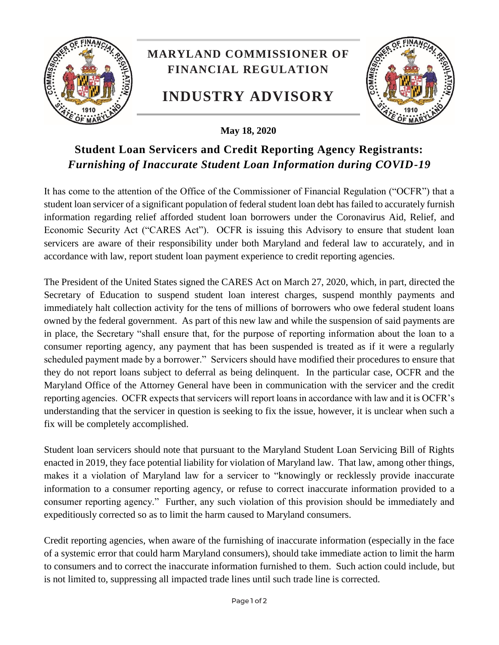

## **Student Loan Servicers and Credit Reporting Agency Registrants:**  *Furnishing of Inaccurate Student Loan Information during COVID-19*

It has come to the attention of the Office of the Commissioner of Financial Regulation ("OCFR") that a student loan servicer of a significant population of federal student loan debt has failed to accurately furnish information regarding relief afforded student loan borrowers under the Coronavirus Aid, Relief, and Economic Security Act ("CARES Act"). OCFR is issuing this Advisory to ensure that student loan servicers are aware of their responsibility under both Maryland and federal law to accurately, and in accordance with law, report student loan payment experience to credit reporting agencies.

The President of the United States signed the CARES Act on March 27, 2020, which, in part, directed the Secretary of Education to suspend student loan interest charges, suspend monthly payments and immediately halt collection activity for the tens of millions of borrowers who owe federal student loans owned by the federal government. As part of this new law and while the suspension of said payments are in place, the Secretary "shall ensure that, for the purpose of reporting information about the loan to a consumer reporting agency, any payment that has been suspended is treated as if it were a regularly scheduled payment made by a borrower." Servicers should have modified their procedures to ensure that they do not report loans subject to deferral as being delinquent. In the particular case, OCFR and the Maryland Office of the Attorney General have been in communication with the servicer and the credit reporting agencies. OCFR expects that servicers will report loans in accordance with law and it is OCFR's understanding that the servicer in question is seeking to fix the issue, however, it is unclear when such a fix will be completely accomplished.

Student loan servicers should note that pursuant to the Maryland Student Loan Servicing Bill of Rights enacted in 2019, they face potential liability for violation of Maryland law. That law, among other things, makes it a violation of Maryland law for a servicer to "knowingly or recklessly provide inaccurate information to a consumer reporting agency, or refuse to correct inaccurate information provided to a consumer reporting agency." Further, any such violation of this provision should be immediately and expeditiously corrected so as to limit the harm caused to Maryland consumers.

Credit reporting agencies, when aware of the furnishing of inaccurate information (especially in the face of a systemic error that could harm Maryland consumers), should take immediate action to limit the harm to consumers and to correct the inaccurate information furnished to them. Such action could include, but is not limited to, suppressing all impacted trade lines until such trade line is corrected.